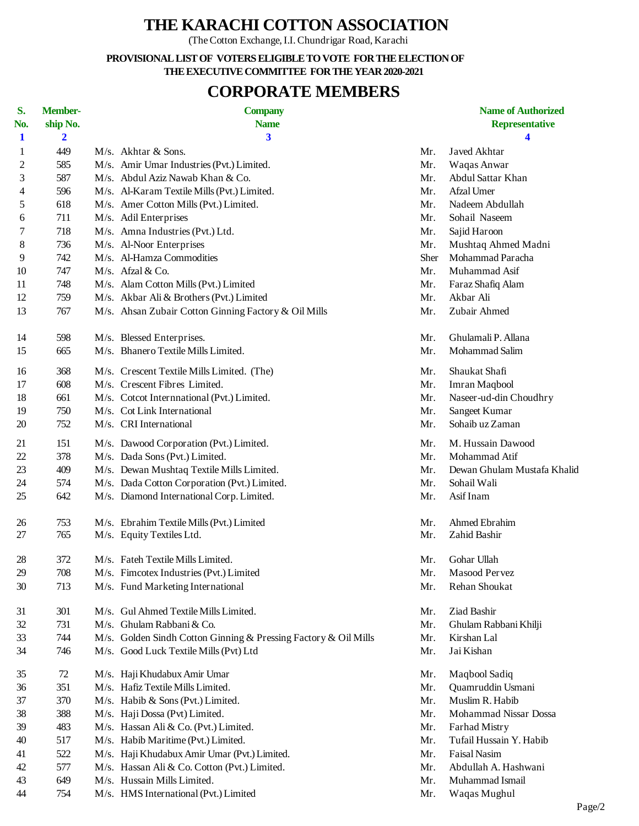## **THE KARACHI COTTON ASSOCIATION**

(The Cotton Exchange, I.I. Chundrigar Road, Karachi

**PROVISIONAL LIST OF VOTERS ELIGIBLE TO VOTE FOR THE ELECTION OF THE EXECUTIVE COMMITTEE FOR THE YEAR 2020-2021**

## **CORPORATE MEMBERS**

| S.<br>No.      | <b>Member-</b><br>ship No. | <b>Company</b><br><b>Name</b>                                   |             | <b>Name of Authorized</b><br><b>Representative</b> |
|----------------|----------------------------|-----------------------------------------------------------------|-------------|----------------------------------------------------|
| $\mathbf 1$    | $\overline{\mathbf{2}}$    | $\overline{\mathbf{3}}$                                         |             | 4                                                  |
| 1              | 449                        | M/s. Akhtar & Sons.                                             | Mr.         | Javed Akhtar                                       |
| $\overline{c}$ | 585                        | M/s. Amir Umar Industries (Pvt.) Limited.                       | Mr.         | Waqas Anwar                                        |
| 3              | 587                        | M/s. Abdul Aziz Nawab Khan & Co.                                | Mr.         | Abdul Sattar Khan                                  |
|                | 596                        | M/s. Al-Karam Textile Mills (Pvt.) Limited.                     | Mr.         | Afzal Umer                                         |
| 4              | 618                        | M/s. Amer Cotton Mills (Pvt.) Limited.                          | Mr.         | Nadeem Abdullah                                    |
| 5              | 711                        | M/s. Adil Enterprises                                           | Mr.         | Sohail Naseem                                      |
| 6              | 718                        |                                                                 |             |                                                    |
| 7              | 736                        | M/s. Amna Industries (Pvt.) Ltd.                                | Mr.         | Sajid Haroon                                       |
| 8<br>9         | 742                        | M/s. Al-Noor Enterprises<br>M/s. Al-Hamza Commodities           | Mr.<br>Sher | Mushtaq Ahmed Madni<br>Mohammad Paracha            |
| 10             | 747                        | M/s. Afzal & Co.                                                | Mr.         | Muhammad Asif                                      |
|                |                            |                                                                 |             |                                                    |
| 11             | 748                        | M/s. Alam Cotton Mills (Pvt.) Limited                           | Mr.         | Faraz Shafiq Alam                                  |
| 12             | 759                        | M/s. Akbar Ali & Brothers (Pvt.) Limited                        | Mr.         | Akbar Ali                                          |
| 13             | 767                        | M/s. Ahsan Zubair Cotton Ginning Factory & Oil Mills            | Mr.         | Zubair Ahmed                                       |
| 14             | 598                        | M/s. Blessed Enterprises.                                       | Mr.         | Ghulamali P. Allana                                |
| 15             | 665                        | M/s. Bhanero Textile Mills Limited.                             | Mr.         | Mohammad Salim                                     |
| 16             | 368                        | M/s. Crescent Textile Mills Limited. (The)                      | Mr.         | Shaukat Shafi                                      |
| 17             | 608                        | M/s. Crescent Fibres Limited.                                   | Mr.         | Imran Maqbool                                      |
| 18             | 661                        | M/s. Cotcot Internnational (Pvt.) Limited.                      | Mr.         | Naseer-ud-din Choudhry                             |
| 19             | 750                        | M/s. Cot Link International                                     | Mr.         | Sangeet Kumar                                      |
| 20             | 752                        | M/s. CRI International                                          | Mr.         | Sohaib uz Zaman                                    |
| 21             | 151                        | M/s. Dawood Corporation (Pvt.) Limited.                         | Mr.         | M. Hussain Dawood                                  |
| 22             | 378                        | M/s. Dada Sons (Pvt.) Limited.                                  | Mr.         | Mohammad Atif                                      |
| 23             | 409                        | M/s. Dewan Mushtaq Textile Mills Limited.                       | Mr.         | Dewan Ghulam Mustafa Khalid                        |
| 24             | 574                        | M/s. Dada Cotton Corporation (Pvt.) Limited.                    | Mr.         | Sohail Wali                                        |
| 25             | 642                        | M/s. Diamond International Corp. Limited.                       | Mr.         | Asif Inam                                          |
| 26             | 753                        | M/s. Ebrahim Textile Mills (Pvt.) Limited                       | Mr.         | Ahmed Ebrahim                                      |
| 27             | 765                        | M/s. Equity Textiles Ltd.                                       | Mr.         | Zahid Bashir                                       |
|                |                            |                                                                 |             |                                                    |
| 28             | 372                        | M/s. Fateh Textile Mills Limited.                               | Mr.         | Gohar Ullah                                        |
| 29             | 708                        | M/s. Fimcotex Industries (Pvt.) Limited                         | Mr.         | Masood Pervez                                      |
| 30             | 713                        | M/s. Fund Marketing International                               | Mr.         | Rehan Shoukat                                      |
| 31             | 301                        | M/s. Gul Ahmed Textile Mills Limited.                           | Mr.         | Ziad Bashir                                        |
| 32             | 731                        | M/s. Ghulam Rabbani & Co.                                       | Mr.         | Ghulam Rabbani Khilji                              |
| 33             | 744                        | M/s. Golden Sindh Cotton Ginning & Pressing Factory & Oil Mills | Mr.         | Kirshan Lal                                        |
| 34             | 746                        | M/s. Good Luck Textile Mills (Pvt) Ltd                          | Mr.         | Jai Kishan                                         |
| 35             | 72                         | M/s. Haji Khudabux Amir Umar                                    | Mr.         | Maqbool Sadiq                                      |
| 36             | 351                        | M/s. Hafiz Textile Mills Limited.                               | Mr.         | Quamruddin Usmani                                  |
| 37             | 370                        | M/s. Habib & Sons (Pvt.) Limited.                               | Mr.         | Muslim R. Habib                                    |
| 38             | 388                        | M/s. Haji Dossa (Pvt) Limited.                                  | Mr.         | Mohammad Nissar Dossa                              |
| 39             | 483                        | M/s. Hassan Ali & Co. (Pvt.) Limited.                           | Mr.         | Farhad Mistry                                      |
| 40             | 517                        | M/s. Habib Maritime (Pvt.) Limited.                             | Mr.         | Tufail Hussain Y. Habib                            |
| 41             | 522                        | M/s. Haji Khudabux Amir Umar (Pvt.) Limited.                    | Mr.         | Faisal Nasim                                       |
| 42             | 577                        | M/s. Hassan Ali & Co. Cotton (Pvt.) Limited.                    | Mr.         | Abdullah A. Hashwani                               |
| 43             | 649                        | M/s. Hussain Mills Limited.                                     | Mr.         | Muhammad Ismail                                    |
| 44             | 754                        | M/s. HMS International (Pvt.) Limited                           | Mr.         | Waqas Mughul                                       |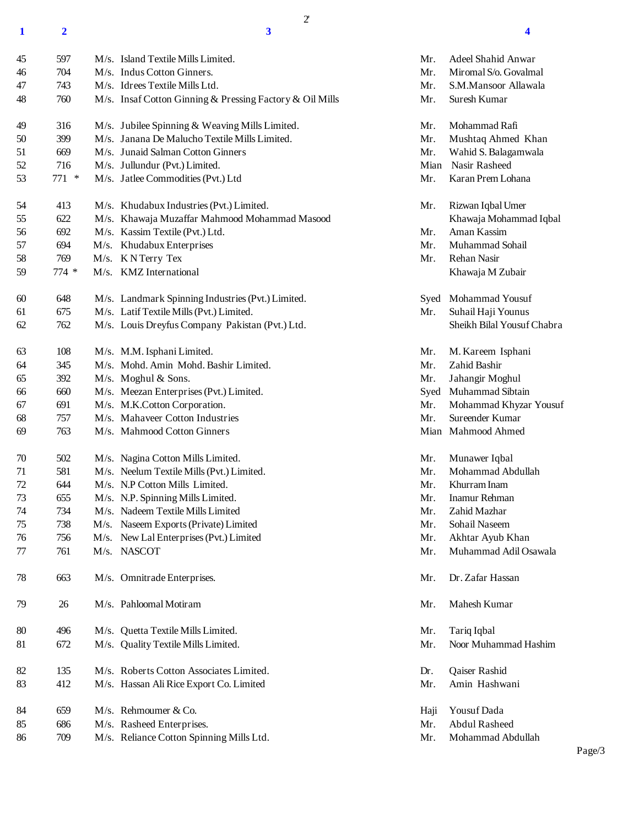**2 3 4**

2'

| 45 | 597    | M/s. Island Textile Mills Limited.                       | Mr.  | <b>Adeel Shahid Anwar</b>  |
|----|--------|----------------------------------------------------------|------|----------------------------|
| 46 | 704    | M/s. Indus Cotton Ginners.                               | Mr.  | Miromal S/o. Govalmal      |
| 47 | 743    | M/s. Idrees Textile Mills Ltd.                           | Mr.  | S.M.Mansoor Allawala       |
| 48 | 760    | M/s. Insaf Cotton Ginning & Pressing Factory & Oil Mills | Mr.  | Suresh Kumar               |
| 49 | 316    | M/s. Jubilee Spinning & Weaving Mills Limited.           | Mr.  | Mohammad Rafi              |
| 50 | 399    | M/s. Janana De Malucho Textile Mills Limited.            | Mr.  | Mushtaq Ahmed Khan         |
| 51 | 669    | M/s. Junaid Salman Cotton Ginners                        | Mr.  | Wahid S. Balagamwala       |
| 52 | 716    | M/s. Jullundur (Pvt.) Limited.                           | Mian | Nasir Rasheed              |
| 53 | 771 *  | M/s. Jatlee Commodities (Pvt.) Ltd                       | Mr.  | Karan Prem Lohana          |
| 54 | 413    | M/s. Khudabux Industries (Pvt.) Limited.                 | Mr.  | Rizwan Iqbal Umer          |
| 55 | 622    | M/s. Khawaja Muzaffar Mahmood Mohammad Masood            |      | Khawaja Mohammad Iqbal     |
| 56 | 692    | M/s. Kassim Textile (Pvt.) Ltd.                          | Mr.  | Aman Kassim                |
| 57 | 694    | M/s. Khudabux Enterprises                                | Mr.  | Muhammad Sohail            |
| 58 | 769    | M/s. KNTerry Tex                                         | Mr.  | Rehan Nasir                |
| 59 | $774*$ | M/s. KMZ International                                   |      | Khawaja M Zubair           |
| 60 | 648    | M/s. Landmark Spinning Industries (Pvt.) Limited.        |      | Syed Mohammad Yousuf       |
| 61 | 675    | M/s. Latif Textile Mills (Pvt.) Limited.                 | Mr.  | Suhail Haji Younus         |
| 62 | 762    | M/s. Louis Dreyfus Company Pakistan (Pvt.) Ltd.          |      | Sheikh Bilal Yousuf Chabra |
| 63 | 108    | M/s. M.M. Isphani Limited.                               | Mr.  | M. Kareem Isphani          |
| 64 | 345    | M/s. Mohd. Amin Mohd. Bashir Limited.                    | Mr.  | Zahid Bashir               |
| 65 | 392    | M/s. Moghul & Sons.                                      | Mr.  | Jahangir Moghul            |
| 66 | 660    | M/s. Meezan Enterprises (Pvt.) Limited.                  |      | Syed Muhammad Sibtain      |
| 67 | 691    | M/s. M.K.Cotton Corporation.                             | Mr.  | Mohammad Khyzar Yousuf     |
| 68 | 757    | M/s. Mahaveer Cotton Industries                          | Mr.  | Sureender Kumar            |
| 69 | 763    | M/s. Mahmood Cotton Ginners                              |      | Mian Mahmood Ahmed         |
| 70 | 502    | M/s. Nagina Cotton Mills Limited.                        | Mr.  | Munawer Iqbal              |
| 71 | 581    | M/s. Neelum Textile Mills (Pvt.) Limited.                | Mr.  | Mohammad Abdullah          |
| 72 | 644    | M/s. N.P Cotton Mills Limited.                           | Mr.  | Khurram Inam               |
| 73 | 655    | M/s. N.P. Spinning Mills Limited.                        | Mr.  | Inamur Rehman              |
| 74 | 734    | M/s. Nadeem Textile Mills Limited                        | Mr.  | Zahid Mazhar               |
| 75 | 738    | M/s. Naseem Exports (Private) Limited                    | Mr.  | Sohail Naseem              |
| 76 | 756    | M/s. New Lal Enterprises (Pvt.) Limited                  | Mr.  | Akhtar Ayub Khan           |
| 77 | 761    | M/s. NASCOT                                              | Mr.  | Muhammad Adil Osawala      |
| 78 | 663    | M/s. Omnitrade Enterprises.                              | Mr.  | Dr. Zafar Hassan           |
| 79 | 26     | M/s. Pahloomal Motiram                                   | Mr.  | Mahesh Kumar               |
| 80 | 496    | M/s. Quetta Textile Mills Limited.                       | Mr.  | Tariq Iqbal                |
| 81 | 672    | M/s. Quality Textile Mills Limited.                      | Mr.  | Noor Muhammad Hashim       |
| 82 | 135    | M/s. Roberts Cotton Associates Limited.                  | Dr.  | Qaiser Rashid              |
| 83 | 412    | M/s. Hassan Ali Rice Export Co. Limited                  | Mr.  | Amin Hashwani              |
| 84 | 659    | M/s. Rehmoumer & Co.                                     | Haji | Yousuf Dada                |
| 85 | 686    | M/s. Rasheed Enterprises.                                | Mr.  | <b>Abdul Rasheed</b>       |
| 86 | 709    | M/s. Reliance Cotton Spinning Mills Ltd.                 | Mr.  | Mohammad Abdullah          |

Page/3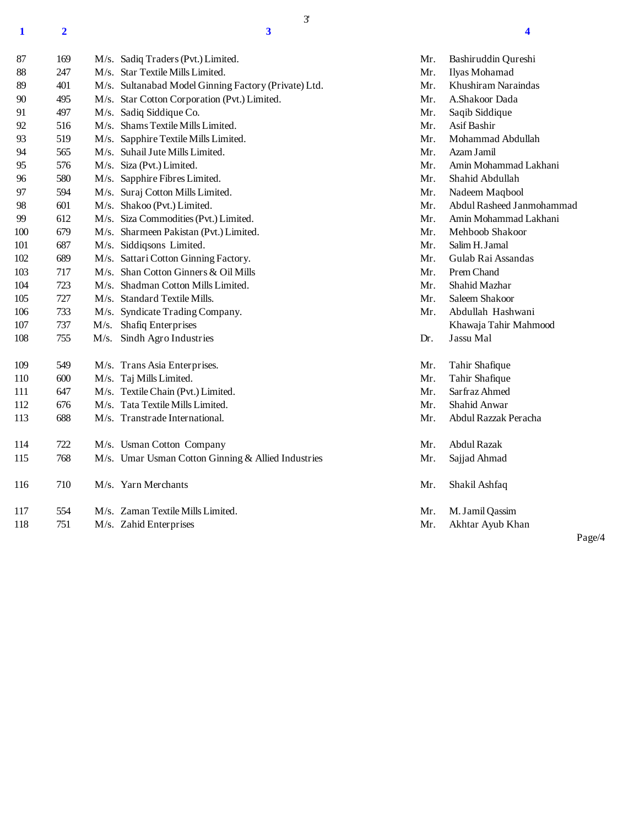**2 3 4**

3'

| 87  | 169 | M/s. Sadiq Traders (Pvt.) Limited.                   | Mr. | Bashiruddin Qureshi       |
|-----|-----|------------------------------------------------------|-----|---------------------------|
| 88  | 247 | M/s. Star Textile Mills Limited.                     | Mr. | Ilyas Mohamad             |
| 89  | 401 | M/s. Sultanabad Model Ginning Factory (Private) Ltd. | Mr. | Khushiram Naraindas       |
| 90  | 495 | M/s. Star Cotton Corporation (Pvt.) Limited.         | Mr. | A.Shakoor Dada            |
| 91  | 497 | M/s. Sadiq Siddique Co.                              | Mr. | Saqib Siddique            |
| 92  | 516 | M/s. Shams Textile Mills Limited.                    | Mr. | Asif Bashir               |
| 93  | 519 | M/s. Sapphire Textile Mills Limited.                 | Mr. | Mohammad Abdullah         |
| 94  | 565 | M/s. Suhail Jute Mills Limited.                      | Mr. | Azam Jamil                |
| 95  | 576 | M/s. Siza (Pvt.) Limited.                            | Mr. | Amin Mohammad Lakhani     |
| 96  | 580 | M/s. Sapphire Fibres Limited.                        | Mr. | Shahid Abdullah           |
| 97  | 594 | M/s. Suraj Cotton Mills Limited.                     | Mr. | Nadeem Maqbool            |
| 98  | 601 | M/s. Shakoo (Pvt.) Limited.                          | Mr. | Abdul Rasheed Janmohammad |
| 99  | 612 | M/s. Siza Commodities (Pvt.) Limited.                | Mr. | Amin Mohammad Lakhani     |
| 100 | 679 | M/s. Sharmeen Pakistan (Pvt.) Limited.               | Mr. | Mehboob Shakoor           |
| 101 | 687 | M/s. Siddiqsons Limited.                             | Mr. | Salim H. Jamal            |
| 102 | 689 | M/s. Sattari Cotton Ginning Factory.                 | Mr. | Gulab Rai Assandas        |
| 103 | 717 | M/s. Shan Cotton Ginners & Oil Mills                 | Mr. | Prem Chand                |
| 104 | 723 | M/s. Shadman Cotton Mills Limited.                   | Mr. | Shahid Mazhar             |
| 105 | 727 | M/s. Standard Textile Mills.                         | Mr. | Saleem Shakoor            |
| 106 | 733 | M/s. Syndicate Trading Company.                      | Mr. | Abdullah Hashwani         |
| 107 | 737 | M/s. Shafiq Enterprises                              |     | Khawaja Tahir Mahmood     |
| 108 | 755 | M/s. Sindh Agro Industries                           | Dr. | Jassu Mal                 |
| 109 | 549 | M/s. Trans Asia Enterprises.                         | Mr. | Tahir Shafique            |
| 110 | 600 | M/s. Taj Mills Limited.                              | Mr. | Tahir Shafique            |
| 111 | 647 | M/s. Textile Chain (Pvt.) Limited.                   | Mr. | Sarfraz Ahmed             |
| 112 | 676 | M/s. Tata Textile Mills Limited.                     | Mr. | Shahid Anwar              |
| 113 | 688 | M/s. Transtrade International.                       | Mr. | Abdul Razzak Peracha      |
| 114 | 722 | M/s. Usman Cotton Company                            | Mr. | Abdul Razak               |
| 115 | 768 | M/s. Umar Usman Cotton Ginning & Allied Industries   | Mr. | Sajjad Ahmad              |
| 116 | 710 | M/s. Yarn Merchants                                  | Mr. | Shakil Ashfaq             |
| 117 | 554 | M/s. Zaman Textile Mills Limited.                    | Mr. | M. Jamil Qassim           |
| 118 | 751 | M/s. Zahid Enterprises                               | Mr. | Akhtar Ayub Khan          |

Page/4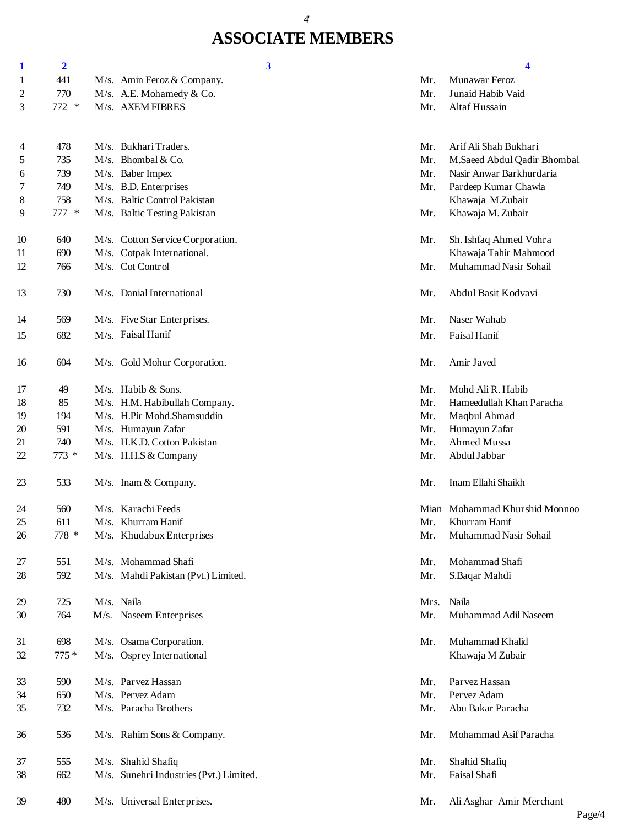### 4'

# **ASSOCIATE MEMBERS**

| $\mathbf 1$    | $\overline{\mathbf{2}}$ | 3                                       |      | 4                             |
|----------------|-------------------------|-----------------------------------------|------|-------------------------------|
| 1              | 441                     | M/s. Amin Feroz & Company.              | Mr.  | Munawar Feroz                 |
| $\overline{c}$ | 770                     | M/s. A.E. Mohamedy & Co.                | Mr.  | Junaid Habib Vaid             |
| 3              | 772 *                   | M/s. AXEM FIBRES                        | Mr.  | Altaf Hussain                 |
|                |                         |                                         |      |                               |
| 4              | 478                     | M/s. Bukhari Traders.                   | Mr.  | Arif Ali Shah Bukhari         |
| 5              | 735                     | M/s. Bhombal & Co.                      | Mr.  | M.Saeed Abdul Qadir Bhombal   |
| 6              | 739                     | M/s. Baber Impex                        | Mr.  | Nasir Anwar Barkhurdaria      |
| 7              | 749                     | M/s. B.D. Enterprises                   | Mr.  | Pardeep Kumar Chawla          |
| 8              | 758                     | M/s. Baltic Control Pakistan            |      | Khawaja M.Zubair              |
| 9              | 777 *                   | M/s. Baltic Testing Pakistan            | Mr.  | Khawaja M. Zubair             |
| 10             | 640                     | M/s. Cotton Service Corporation.        | Mr.  | Sh. Ishfaq Ahmed Vohra        |
| 11             | 690                     | M/s. Cotpak International.              |      | Khawaja Tahir Mahmood         |
| 12             | 766                     | M/s. Cot Control                        | Mr.  | Muhammad Nasir Sohail         |
| 13             | 730                     | M/s. Danial International               | Mr.  | Abdul Basit Kodvavi           |
| 14             | 569                     | M/s. Five Star Enterprises.             | Mr.  | Naser Wahab                   |
| 15             | 682                     | M/s. Faisal Hanif                       | Mr.  | Faisal Hanif                  |
| 16             | 604                     | M/s. Gold Mohur Corporation.            | Mr.  | Amir Javed                    |
| 17             | 49                      | M/s. Habib & Sons.                      | Mr.  | Mohd Ali R. Habib             |
| 18             | 85                      | M/s. H.M. Habibullah Company.           | Mr.  | Hameedullah Khan Paracha      |
| 19             | 194                     | M/s. H.Pir Mohd.Shamsuddin              | Mr.  | Maqbul Ahmad                  |
| 20             | 591                     | M/s. Humayun Zafar                      | Mr.  | Humayun Zafar                 |
| 21             | 740                     | M/s. H.K.D. Cotton Pakistan             | Mr.  | Ahmed Mussa                   |
| 22             | $773*$                  | M/s. H.H.S & Company                    | Mr.  | Abdul Jabbar                  |
| 23             | 533                     | M/s. Inam & Company.                    | Mr.  | Inam Ellahi Shaikh            |
| 24             | 560                     | M/s. Karachi Feeds                      |      | Mian Mohammad Khurshid Monnoo |
| 25             | 611                     | M/s. Khurram Hanif                      | Mr.  | Khurram Hanif                 |
| 26             | 778 *                   | M/s. Khudabux Enterprises               | Mr.  | Muhammad Nasir Sohail         |
| 27             | 551                     | M/s. Mohammad Shafi                     | Mr.  | Mohammad Shafi                |
| 28             | 592                     | M/s. Mahdi Pakistan (Pvt.) Limited.     | Mr.  | S.Baqar Mahdi                 |
| 29             | 725                     | M/s. Naila                              | Mrs. | Naila                         |
| 30             | 764                     | M/s. Naseem Enterprises                 | Mr.  | Muhammad Adil Naseem          |
| 31             | 698                     | M/s. Osama Corporation.                 | Mr.  | Muhammad Khalid               |
| 32             | $775*$                  | M/s. Osprey International               |      | Khawaja M Zubair              |
| 33             | 590                     | M/s. Parvez Hassan                      | Mr.  | Parvez Hassan                 |
| 34             | 650                     | M/s. Pervez Adam                        | Mr.  | Pervez Adam                   |
| 35             | 732                     | M/s. Paracha Brothers                   | Mr.  | Abu Bakar Paracha             |
| 36             | 536                     | M/s. Rahim Sons & Company.              | Mr.  | Mohammad Asif Paracha         |
| 37             | 555                     | M/s. Shahid Shafiq                      | Mr.  | Shahid Shafiq                 |
| 38             | 662                     | M/s. Sunehri Industries (Pvt.) Limited. | Mr.  | Faisal Shafi                  |
|                |                         |                                         |      |                               |

480 M/s. Universal Enterprises. Mr. Ali Asghar Amir Merchant